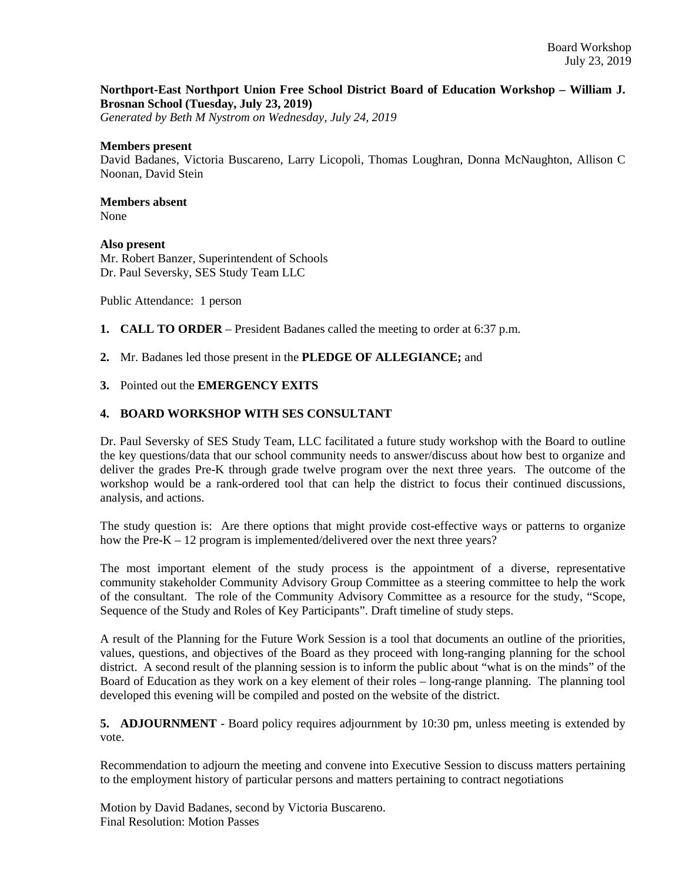## **Northport-East Northport Union Free School District Board of Education Workshop – William J. Brosnan School (Tuesday, July 23, 2019)**

*Generated by Beth M Nystrom on Wednesday, July 24, 2019*

#### **Members present**

David Badanes, Victoria Buscareno, Larry Licopoli, Thomas Loughran, Donna McNaughton, Allison C Noonan, David Stein

# **Members absent**

None

### **Also present**

Mr. Robert Banzer, Superintendent of Schools Dr. Paul Seversky, SES Study Team LLC

Public Attendance: 1 person

- **1. CALL TO ORDER** President Badanes called the meeting to order at 6:37 p.m.
- **2.** Mr. Badanes led those present in the **PLEDGE OF ALLEGIANCE;** and

## **3.** Pointed out the **EMERGENCY EXITS**

## **4. BOARD WORKSHOP WITH SES CONSULTANT**

Dr. Paul Seversky of SES Study Team, LLC facilitated a future study workshop with the Board to outline the key questions/data that our school community needs to answer/discuss about how best to organize and deliver the grades Pre-K through grade twelve program over the next three years. The outcome of the workshop would be a rank-ordered tool that can help the district to focus their continued discussions, analysis, and actions.

The study question is: Are there options that might provide cost-effective ways or patterns to organize how the Pre-K – 12 program is implemented/delivered over the next three years?

The most important element of the study process is the appointment of a diverse, representative community stakeholder Community Advisory Group Committee as a steering committee to help the work of the consultant. The role of the Community Advisory Committee as a resource for the study, "Scope, Sequence of the Study and Roles of Key Participants". Draft timeline of study steps.

A result of the Planning for the Future Work Session is a tool that documents an outline of the priorities, values, questions, and objectives of the Board as they proceed with long-ranging planning for the school district. A second result of the planning session is to inform the public about "what is on the minds" of the Board of Education as they work on a key element of their roles – long-range planning. The planning tool developed this evening will be compiled and posted on the website of the district.

**5. ADJOURNMENT** - Board policy requires adjournment by 10:30 pm, unless meeting is extended by vote.

Recommendation to adjourn the meeting and convene into Executive Session to discuss matters pertaining to the employment history of particular persons and matters pertaining to contract negotiations

Motion by David Badanes, second by Victoria Buscareno. Final Resolution: Motion Passes